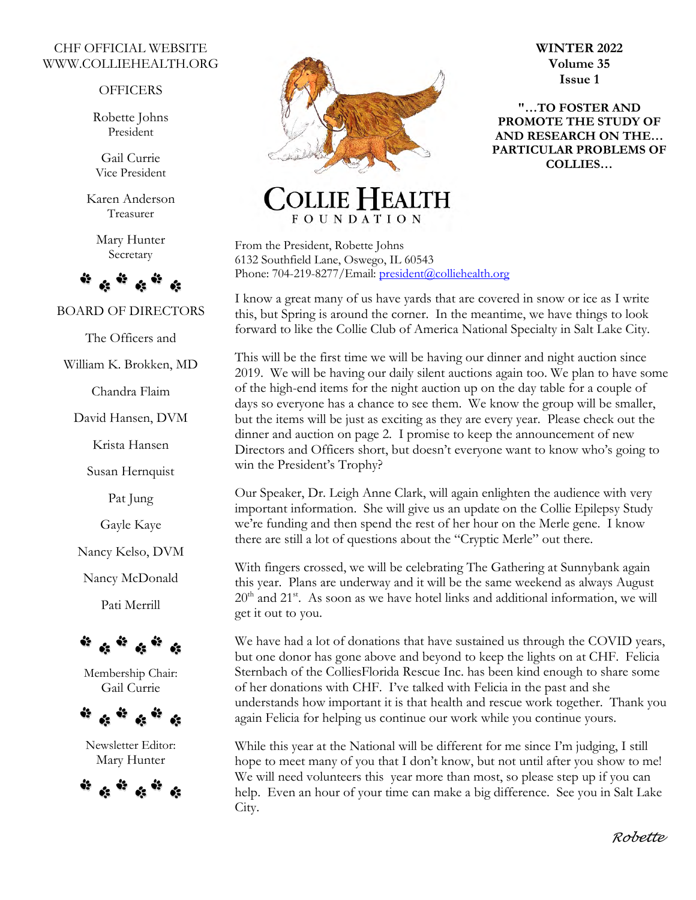#### CHF OFFICIAL WEBSITE WWW.COLLIEHEALTH.ORG

#### **OFFICERS**

Robette Johns President

Gail Currie Vice President

Karen Anderson Treasurer

> Mary Hunter Secretary



BOARD OF DIRECTORS

The Officers and

William K. Brokken, MD

Chandra Flaim

David Hansen, DVM

Krista Hansen

Susan Hernquist

Pat Jung

Gayle Kaye

Nancy Kelso, DVM

Nancy McDonald

Pati Merrill



Membership Chair: Gail Currie



Newsletter Editor: Mary Hunter





**WINTER 2022 Volume 35 Issue 1** 

**"…TO FOSTER AND PROMOTE THE STUDY OF AND RESEARCH ON THE… PARTICULAR PROBLEMS OF COLLIES…**

## EALTH **FOUNDATION**

From the President, Robette Johns 6132 Southfield Lane, Oswego, IL 60543 Phone: 704-219-8277/Email: [president@colliehealth.org](mailto:president@colliehealth.org)

I know a great many of us have yards that are covered in snow or ice as I write this, but Spring is around the corner. In the meantime, we have things to look forward to like the Collie Club of America National Specialty in Salt Lake City.

This will be the first time we will be having our dinner and night auction since 2019. We will be having our daily silent auctions again too. We plan to have some of the high-end items for the night auction up on the day table for a couple of days so everyone has a chance to see them. We know the group will be smaller, but the items will be just as exciting as they are every year. Please check out the dinner and auction on page 2. I promise to keep the announcement of new Directors and Officers short, but doesn't everyone want to know who's going to win the President's Trophy?

Our Speaker, Dr. Leigh Anne Clark, will again enlighten the audience with very important information. She will give us an update on the Collie Epilepsy Study we're funding and then spend the rest of her hour on the Merle gene. I know there are still a lot of questions about the "Cryptic Merle" out there.

With fingers crossed, we will be celebrating The Gathering at Sunnybank again this year. Plans are underway and it will be the same weekend as always August  $20<sup>th</sup>$  and  $21<sup>st</sup>$ . As soon as we have hotel links and additional information, we will get it out to you.

We have had a lot of donations that have sustained us through the COVID years, but one donor has gone above and beyond to keep the lights on at CHF. Felicia Sternbach of the ColliesFlorida Rescue Inc. has been kind enough to share some of her donations with CHF. I've talked with Felicia in the past and she understands how important it is that health and rescue work together. Thank you again Felicia for helping us continue our work while you continue yours.

While this year at the National will be different for me since I'm judging, I still hope to meet many of you that I don't know, but not until after you show to me! We will need volunteers this year more than most, so please step up if you can help. Even an hour of your time can make a big difference. See you in Salt Lake City.

 *Robette*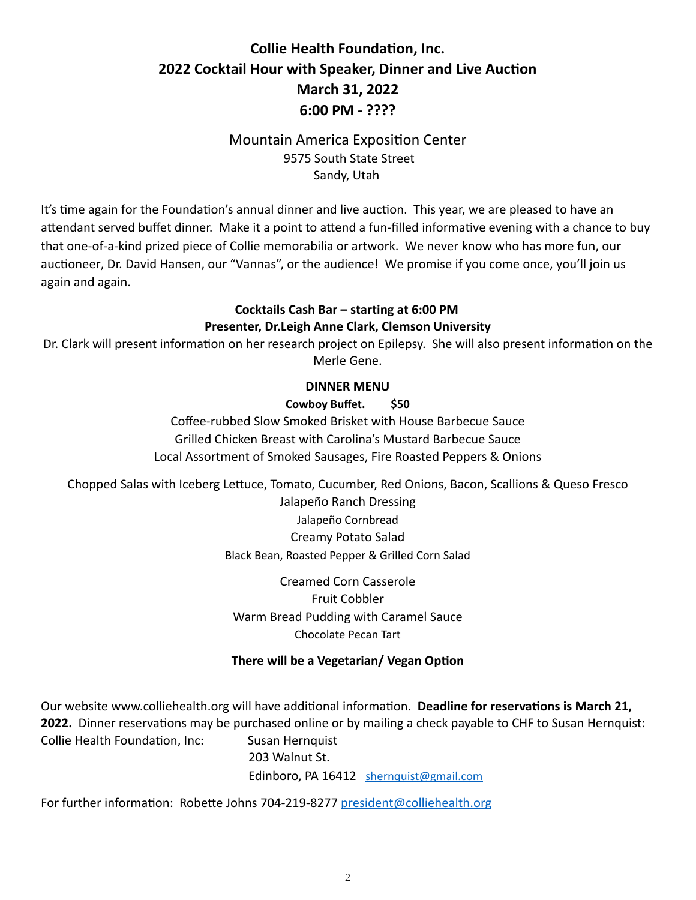## **Collie Health Foundation, Inc. 2022 Cocktail Hour with Speaker, Dinner and Live Auction March 31, 2022 6:00 PM - ????**

## **Mountain America Exposition Center** 9575 South State Street Sandy, Utah

It's time again for the Foundation's annual dinner and live auction. This year, we are pleased to have an attendant served buffet dinner. Make it a point to attend a fun-filled informative evening with a chance to buy that one-of-a-kind prized piece of Collie memorabilia or artwork. We never know who has more fun, our auctioneer, Dr. David Hansen, our "Vannas", or the audience! We promise if you come once, you'll join us again and again.

## **Cocktails Cash Bar – starting at 6:00 PM Presenter, Dr.Leigh Anne Clark, Clemson University**

Dr. Clark will present information on her research project on Epilepsy. She will also present information on the Merle Gene.

## **DINNER MENU**

#### **Cowboy Buffet. \$50**

Coffee-rubbed Slow Smoked Brisket with House Barbecue Sauce Grilled Chicken Breast with Carolina's Mustard Barbecue Sauce Local Assortment of Smoked Sausages, Fire Roasted Peppers & Onions

Chopped Salas with Iceberg Lettuce, Tomato, Cucumber, Red Onions, Bacon, Scallions & Queso Fresco Jalapeño Ranch Dressing Jalapeño Cornbread Creamy Potato Salad

Black Bean, Roasted Pepper & Grilled Corn Salad

Creamed Corn Casserole Fruit Cobbler Warm Bread Pudding with Caramel Sauce Chocolate Pecan Tart

## **There will be a Vegetarian/ Vegan Option**

Our website www.colliehealth.org will have additional information. Deadline for reservations is March 21, **2022.** Dinner reservations may be purchased online or by mailing a check payable to CHF to Susan Hernquist: Collie Health Foundation, Inc: Susan Hernquist 203 Walnut St.

Edinboro, PA 16412 [shernquist@gmail.com](mailto:shernquist@gmail.com)

For further information: Robette Johns 704-219-8277 [president@colliehealth.org](mailto:president@colliehealth.org)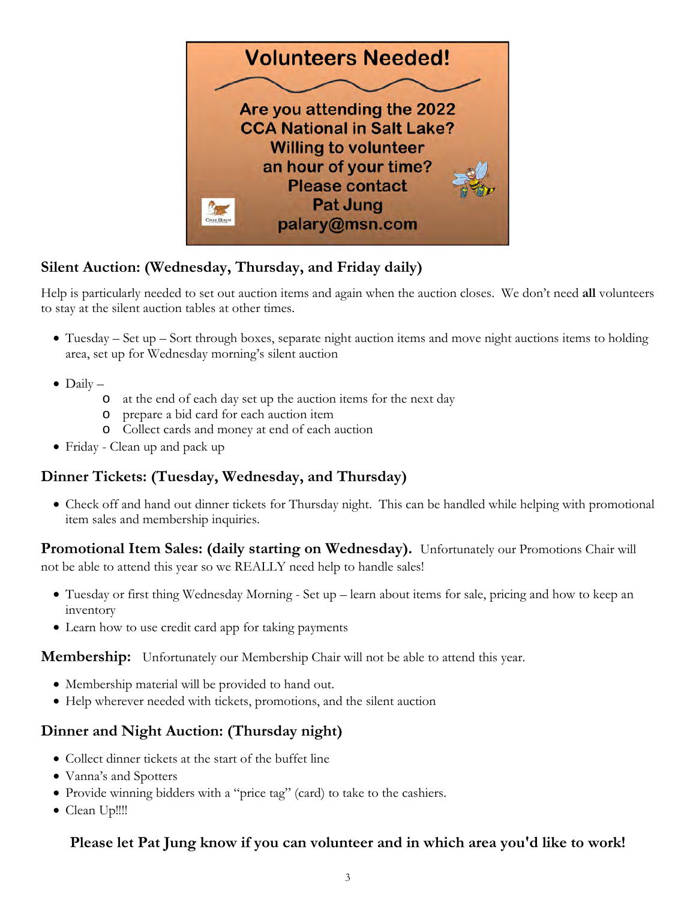

## **Silent Auction: (Wednesday, Thursday, and Friday daily)**

Help is particularly needed to set out auction items and again when the auction closes. We don't need **all** volunteers to stay at the silent auction tables at other times.

- Tuesday Set up Sort through boxes, separate night auction items and move night auctions items to holding area, set up for Wednesday morning's silent auction
- $\bullet$  Daily  $$ 
	- o at the end of each day set up the auction items for the next day
	- o prepare a bid card for each auction item
	- o Collect cards and money at end of each auction
- Friday Clean up and pack up

## **Dinner Tickets: (Tuesday, Wednesday, and Thursday)**

• Check off and hand out dinner tickets for Thursday night. This can be handled while helping with promotional item sales and membership inquiries.

**Promotional Item Sales: (daily starting on Wednesday).** Unfortunately our Promotions Chair will not be able to attend this year so we REALLY need help to handle sales!

- Tuesday or first thing Wednesday Morning Set up learn about items for sale, pricing and how to keep an inventory
- Learn how to use credit card app for taking payments

**Membership:** Unfortunately our Membership Chair will not be able to attend this year.

- Membership material will be provided to hand out.
- Help wherever needed with tickets, promotions, and the silent auction

## **Dinner and Night Auction: (Thursday night)**

- Collect dinner tickets at the start of the buffet line
- Vanna's and Spotters
- Provide winning bidders with a "price tag" (card) to take to the cashiers.
- Clean Up!!!!

## **Please let Pat Jung know if you can volunteer and in which area you'd like to work!**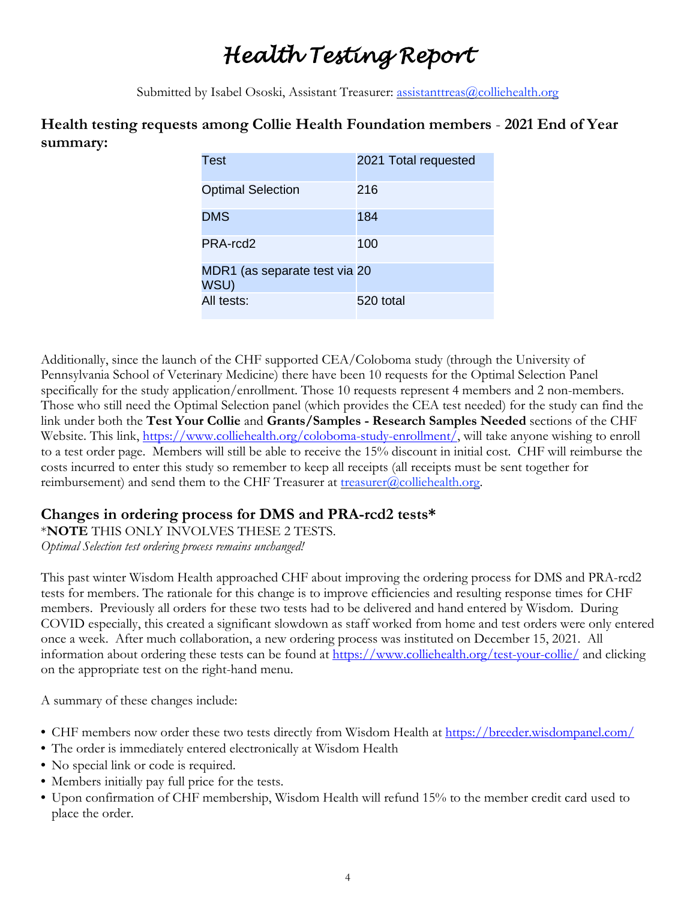# *Health Testing Report*

Submitted by Isabel Ososki, Assistant Treasurer: assistanttreas@colliehealth.org

## **Health testing requests among Collie Health Foundation members** - **2021 End of Year summary:**

| Test                                  | 2021 Total requested |
|---------------------------------------|----------------------|
| <b>Optimal Selection</b>              | 216                  |
| <b>DMS</b>                            | 184                  |
| PRA-rcd2                              | 100                  |
| MDR1 (as separate test via 20<br>WSU) |                      |
| All tests:                            | 520 total            |

Additionally, since the launch of the CHF supported CEA/Coloboma study (through the University of Pennsylvania School of Veterinary Medicine) there have been 10 requests for the Optimal Selection Panel specifically for the study application/enrollment. Those 10 requests represent 4 members and 2 non-members. Those who still need the Optimal Selection panel (which provides the CEA test needed) for the study can find the link under both the **Test Your Collie** and **Grants/Samples - Research Samples Needed** sections of the CHF Website. This link, [https://www.colliehealth.org/coloboma-study-enrollment/,](https://www.colliehealth.org/coloboma-study-enrollment/) will take anyone wishing to enroll to a test order page. Members will still be able to receive the 15% discount in initial cost. CHF will reimburse the costs incurred to enter this study so remember to keep all receipts (all receipts must be sent together for reimbursement) and send them to the CHF Treasurer at treasurer  $@$  colliehealth.org.

## **Changes in ordering process for DMS and PRA-rcd2 tests\***

\***NOTE** THIS ONLY INVOLVES THESE 2 TESTS.

*Optimal Selection test ordering process remains unchanged!*

This past winter Wisdom Health approached CHF about improving the ordering process for DMS and PRA-rcd2 tests for members. The rationale for this change is to improve efficiencies and resulting response times for CHF members. Previously all orders for these two tests had to be delivered and hand entered by Wisdom. During COVID especially, this created a significant slowdown as staff worked from home and test orders were only entered once a week. After much collaboration, a new ordering process was instituted on December 15, 2021. All information about ordering these tests can be found at <https://www.colliehealth.org/test-your-collie/> and clicking on the appropriate test on the right-hand menu.

A summary of these changes include:

- CHF members now order these two tests directly from Wisdom Health at <https://breeder.wisdompanel.com/>
- The order is immediately entered electronically at Wisdom Health
- No special link or code is required.
- Members initially pay full price for the tests.
- Upon confirmation of CHF membership, Wisdom Health will refund 15% to the member credit card used to place the order.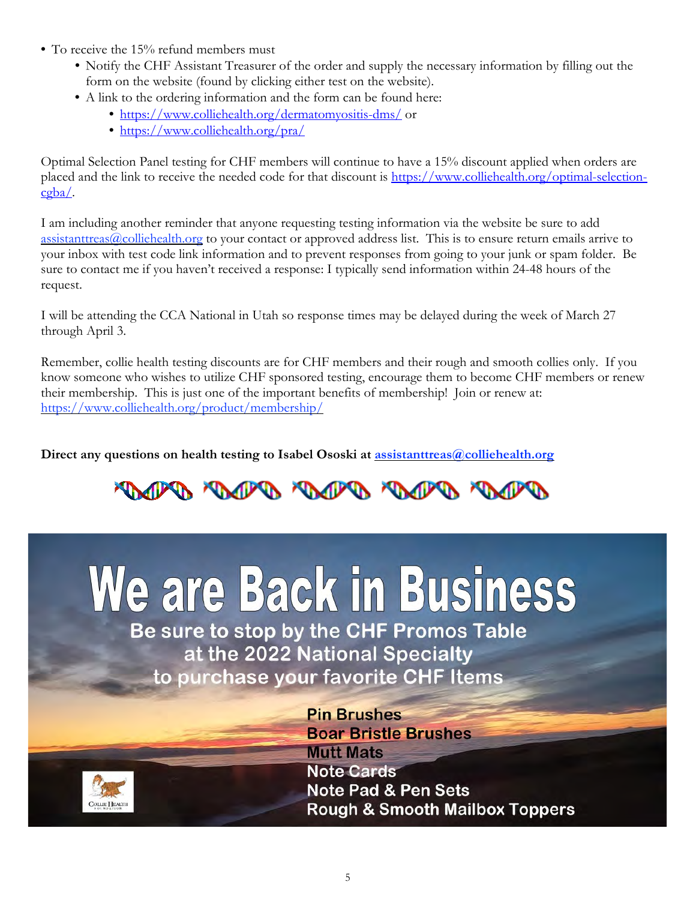- To receive the 15% refund members must
	- Notify the CHF Assistant Treasurer of the order and supply the necessary information by filling out the form on the website (found by clicking either test on the website).
	- A link to the ordering information and the form can be found here:
		- <https://www.colliehealth.org/dermatomyositis-dms/>or
		- <https://www.colliehealth.org/pra/>

Optimal Selection Panel testing for CHF members will continue to have a 15% discount applied when orders are placed and the link to receive the needed code for that discount is [https://www.colliehealth.org/optimal-selection](https://www.colliehealth.org/optimal-selection-cgba/) $c$ gba $\angle$ .

I am including another reminder that anyone requesting testing information via the website be sure to add assistanttreas  $\omega$  colliehealth.org to your contact or approved address list. This is to ensure return emails arrive to your inbox with test code link information and to prevent responses from going to your junk or spam folder. Be sure to contact me if you haven't received a response: I typically send information within 24-48 hours of the request.

I will be attending the CCA National in Utah so response times may be delayed during the week of March 27 through April 3.

Remember, collie health testing discounts are for CHF members and their rough and smooth collies only. If you know someone who wishes to utilize CHF sponsored testing, encourage them to become CHF members or renew their membership. This is just one of the important benefits of membership! Join or renew at: <https://www.colliehealth.org/product/membership/>

**Direct any questions on health testing to Isabel Ososki at [assistanttreas@colliehealth.org](mailto:assistanttreas@colliehealth.org)**

# PARK PARK PARK AND MARK

# We are Back in Business

Be sure to stop by the CHF Promos Table at the 2022 National Specialty to purchase your favorite CHF Items



**Pin Brushes Boar Bristle Brushes Mutt Mats** Note Cards **Note Pad & Pen Sets Rough & Smooth Mailbox Toppers**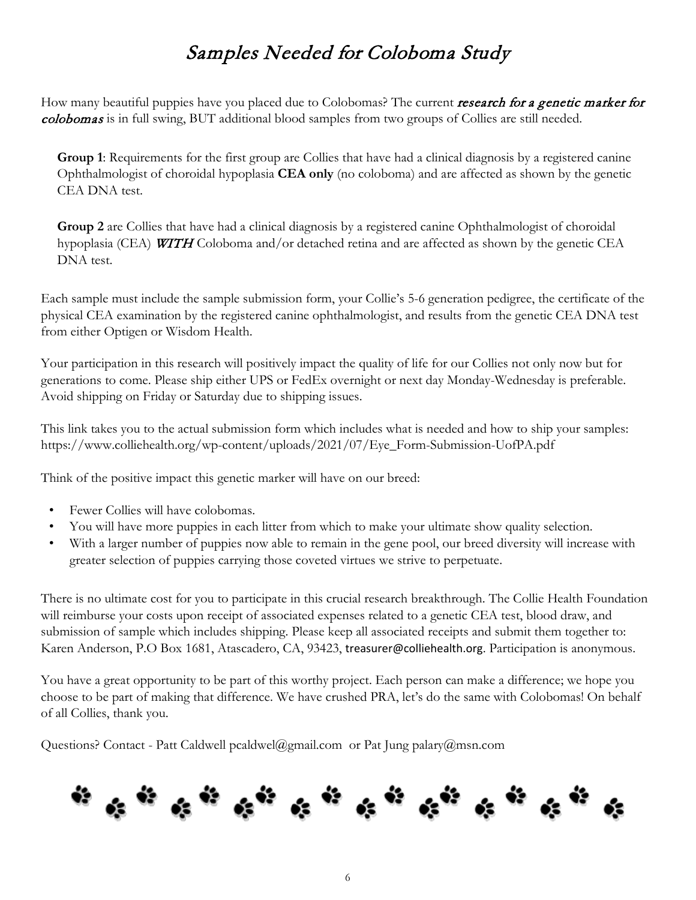## Samples Needed for Coloboma Study

How many beautiful puppies have you placed due to Colobomas? The current research for a genetic marker for colobomas is in full swing, BUT additional blood samples from two groups of Collies are still needed.

**Group 1**: Requirements for the first group are Collies that have had a clinical diagnosis by a registered canine Ophthalmologist of choroidal hypoplasia **CEA only** (no coloboma) and are affected as shown by the genetic CEA DNA test.

**Group 2** are Collies that have had a clinical diagnosis by a registered canine Ophthalmologist of choroidal hypoplasia (CEA) **WITH** Coloboma and/or detached retina and are affected as shown by the genetic CEA DNA test.

Each sample must include the sample submission form, your Collie's 5-6 generation pedigree, the certificate of the physical CEA examination by the registered canine ophthalmologist, and results from the genetic CEA DNA test from either Optigen or Wisdom Health.

Your participation in this research will positively impact the quality of life for our Collies not only now but for generations to come. Please ship either UPS or FedEx overnight or next day Monday-Wednesday is preferable. Avoid shipping on Friday or Saturday due to shipping issues.

This link takes you to the actual submission form which includes what is needed and how to ship your samples: [https://www.colliehealth.org/wp-content/uploads/2021/07/Eye\\_Form-Submission-UofPA.pdf](https://www.colliehealth.org/wp-content/uploads/2021/07/Eye_Form-Submission-UofPA.pdf)

Think of the positive impact this genetic marker will have on our breed:

- Fewer Collies will have colobomas.
- You will have more puppies in each litter from which to make your ultimate show quality selection.
- With a larger number of puppies now able to remain in the gene pool, our breed diversity will increase with greater selection of puppies carrying those coveted virtues we strive to perpetuate.

There is no ultimate cost for you to participate in this crucial research breakthrough. The Collie Health Foundation will reimburse your costs upon receipt of associated expenses related to a genetic CEA test, blood draw, and submission of sample which includes shipping. Please keep all associated receipts and submit them together to: Karen Anderson, P.O Box 1681, Atascadero, CA, 93423, [treasurer@colliehealth.org](mailto:treasurer@colliehealth.org). Participation is anonymous.

You have a great opportunity to be part of this worthy project. Each person can make a difference; we hope you choose to be part of making that difference. We have crushed PRA, let's do the same with Colobomas! On behalf of all Collies, thank you.

Questions? Contact - Patt Caldwell [pcaldwel@gmail.com](mailto:pcaldwel@gmail.com) or Pat Jung [palary@msn.com](mailto:palary@msn.com)

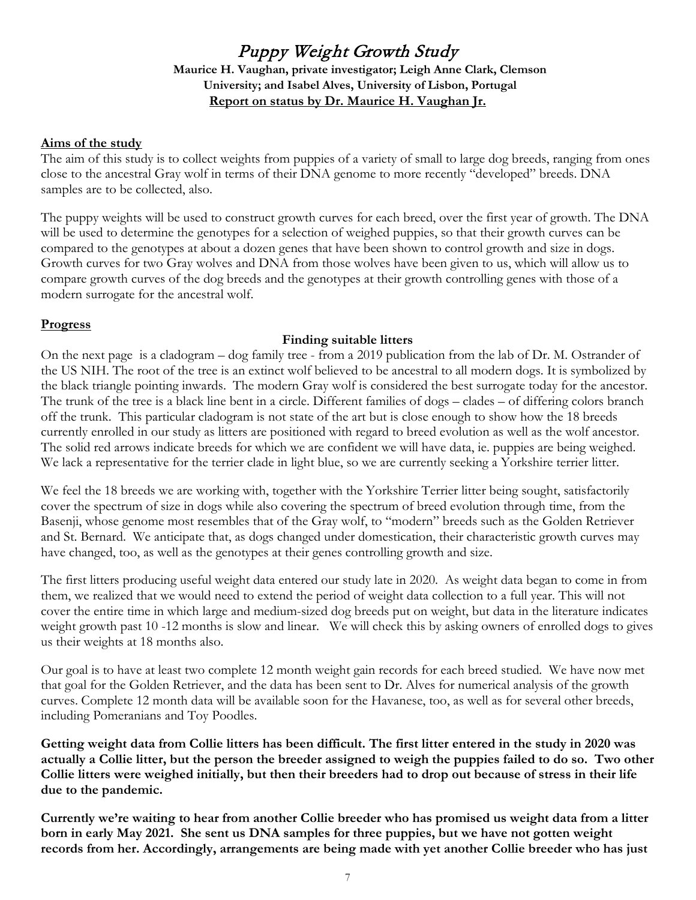## Puppy Weight Growth Study

**Maurice H. Vaughan, private investigator; Leigh Anne Clark, Clemson University; and Isabel Alves, University of Lisbon, Portugal Report on status by Dr. Maurice H. Vaughan Jr.**

#### **Aims of the study**

The aim of this study is to collect weights from puppies of a variety of small to large dog breeds, ranging from ones close to the ancestral Gray wolf in terms of their DNA genome to more recently "developed" breeds. DNA samples are to be collected, also.

The puppy weights will be used to construct growth curves for each breed, over the first year of growth. The DNA will be used to determine the genotypes for a selection of weighed puppies, so that their growth curves can be compared to the genotypes at about a dozen genes that have been shown to control growth and size in dogs. Growth curves for two Gray wolves and DNA from those wolves have been given to us, which will allow us to compare growth curves of the dog breeds and the genotypes at their growth controlling genes with those of a modern surrogate for the ancestral wolf.

#### **Progress**

#### **Finding suitable litters**

On the next page is a cladogram – dog family tree - from a 2019 publication from the lab of Dr. M. Ostrander of the US NIH. The root of the tree is an extinct wolf believed to be ancestral to all modern dogs. It is symbolized by the black triangle pointing inwards. The modern Gray wolf is considered the best surrogate today for the ancestor. The trunk of the tree is a black line bent in a circle. Different families of dogs – clades – of differing colors branch off the trunk. This particular cladogram is not state of the art but is close enough to show how the 18 breeds currently enrolled in our study as litters are positioned with regard to breed evolution as well as the wolf ancestor. The solid red arrows indicate breeds for which we are confident we will have data, ie. puppies are being weighed. We lack a representative for the terrier clade in light blue, so we are currently seeking a Yorkshire terrier litter.

We feel the 18 breeds we are working with, together with the Yorkshire Terrier litter being sought, satisfactorily cover the spectrum of size in dogs while also covering the spectrum of breed evolution through time, from the Basenji, whose genome most resembles that of the Gray wolf, to "modern" breeds such as the Golden Retriever and St. Bernard. We anticipate that, as dogs changed under domestication, their characteristic growth curves may have changed, too, as well as the genotypes at their genes controlling growth and size.

The first litters producing useful weight data entered our study late in 2020. As weight data began to come in from them, we realized that we would need to extend the period of weight data collection to a full year. This will not cover the entire time in which large and medium-sized dog breeds put on weight, but data in the literature indicates weight growth past 10 -12 months is slow and linear. We will check this by asking owners of enrolled dogs to gives us their weights at 18 months also.

Our goal is to have at least two complete 12 month weight gain records for each breed studied. We have now met that goal for the Golden Retriever, and the data has been sent to Dr. Alves for numerical analysis of the growth curves. Complete 12 month data will be available soon for the Havanese, too, as well as for several other breeds, including Pomeranians and Toy Poodles.

**Getting weight data from Collie litters has been difficult. The first litter entered in the study in 2020 was actually a Collie litter, but the person the breeder assigned to weigh the puppies failed to do so. Two other Collie litters were weighed initially, but then their breeders had to drop out because of stress in their life due to the pandemic.**

**Currently we're waiting to hear from another Collie breeder who has promised us weight data from a litter born in early May 2021. She sent us DNA samples for three puppies, but we have not gotten weight records from her. Accordingly, arrangements are being made with yet another Collie breeder who has just**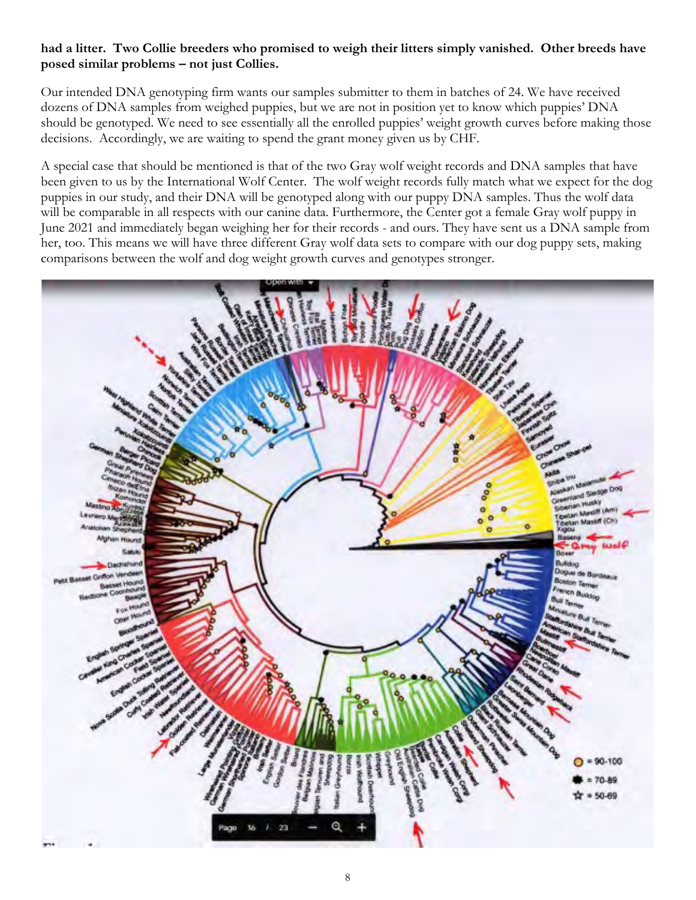### **had a litter. Two Collie breeders who promised to weigh their litters simply vanished. Other breeds have posed similar problems – not just Collies.**

Our intended DNA genotyping firm wants our samples submitter to them in batches of 24. We have received dozens of DNA samples from weighed puppies, but we are not in position yet to know which puppies' DNA should be genotyped. We need to see essentially all the enrolled puppies' weight growth curves before making those decisions. Accordingly, we are waiting to spend the grant money given us by CHF.

A special case that should be mentioned is that of the two Gray wolf weight records and DNA samples that have been given to us by the International Wolf Center. The wolf weight records fully match what we expect for the dog puppies in our study, and their DNA will be genotyped along with our puppy DNA samples. Thus the wolf data will be comparable in all respects with our canine data. Furthermore, the Center got a female Gray wolf puppy in June 2021 and immediately began weighing her for their records - and ours. They have sent us a DNA sample from her, too. This means we will have three different Gray wolf data sets to compare with our dog puppy sets, making comparisons between the wolf and dog weight growth curves and genotypes stronger.

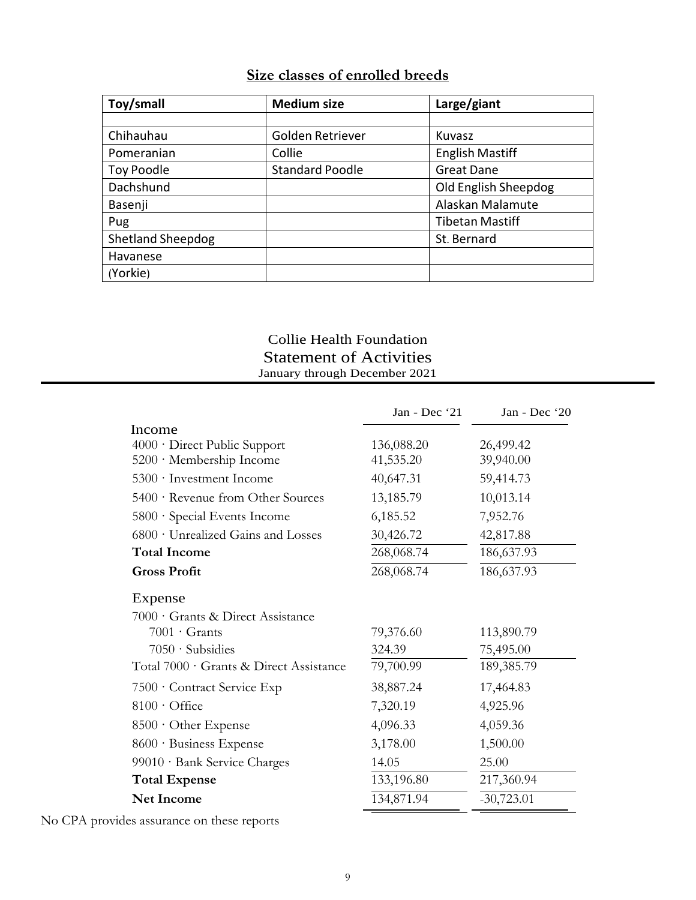## **Size classes of enrolled breeds**

| Toy/small                | <b>Medium size</b>     | Large/giant            |
|--------------------------|------------------------|------------------------|
|                          |                        |                        |
| Chihauhau                | Golden Retriever       | Kuvasz                 |
| Pomeranian               | Collie                 | <b>English Mastiff</b> |
| Toy Poodle               | <b>Standard Poodle</b> | <b>Great Dane</b>      |
| Dachshund                |                        | Old English Sheepdog   |
| Basenji                  |                        | Alaskan Malamute       |
| Pug                      |                        | <b>Tibetan Mastiff</b> |
| <b>Shetland Sheepdog</b> |                        | St. Bernard            |
| Havanese                 |                        |                        |
| (Yorkie)                 |                        |                        |

## Collie Health Foundation Statement of Activities January through December 2021

|                                         | Jan - Dec '21 | Jan - Dec '20 |
|-----------------------------------------|---------------|---------------|
| Income                                  |               |               |
| 4000 · Direct Public Support            | 136,088.20    | 26,499.42     |
| 5200 · Membership Income                | 41,535.20     | 39,940.00     |
| 5300 · Investment Income                | 40,647.31     | 59,414.73     |
| 5400 · Revenue from Other Sources       | 13,185.79     | 10,013.14     |
| 5800 · Special Events Income            | 6,185.52      | 7,952.76      |
| 6800 · Unrealized Gains and Losses      | 30,426.72     | 42,817.88     |
| <b>Total Income</b>                     | 268,068.74    | 186, 637. 93  |
| <b>Gross Profit</b>                     | 268,068.74    | 186,637.93    |
| Expense                                 |               |               |
| 7000 · Grants & Direct Assistance       |               |               |
| $7001 \cdot$ Grants                     | 79,376.60     | 113,890.79    |
| $7050 \cdot$ Subsidies                  | 324.39        | 75,495.00     |
| Total 7000 · Grants & Direct Assistance | 79,700.99     | 189,385.79    |
| 7500 · Contract Service Exp             | 38,887.24     | 17,464.83     |
| $8100 \cdot$ Office                     | 7,320.19      | 4,925.96      |
| $8500 \cdot$ Other Expense              | 4,096.33      | 4,059.36      |
| 8600 · Business Expense                 | 3,178.00      | 1,500.00      |
| 99010 · Bank Service Charges            | 14.05         | 25.00         |
| <b>Total Expense</b>                    | 133,196.80    | 217,360.94    |
| <b>Net Income</b>                       | 134,871.94    | $-30,723.01$  |

No CPA provides assurance on these reports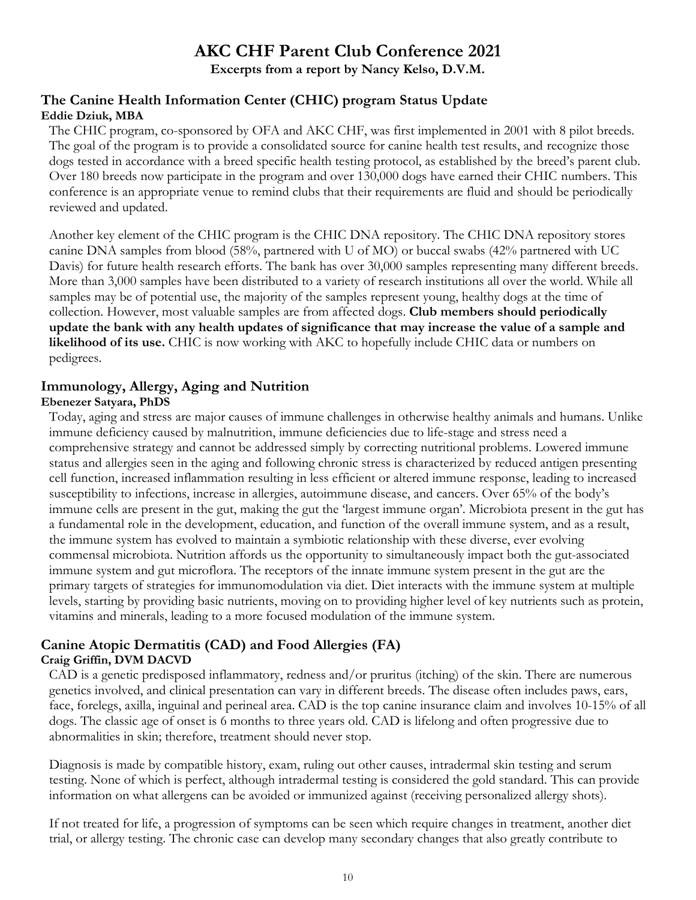## **AKC CHF Parent Club Conference 2021**

**Excerpts from a report by Nancy Kelso, D.V.M.**

## **The Canine Health Information Center (CHIC) program Status Update Eddie Dziuk, MBA**

The CHIC program, co-sponsored by OFA and AKC CHF, was first implemented in 2001 with 8 pilot breeds. The goal of the program is to provide a consolidated source for canine health test results, and recognize those dogs tested in accordance with a breed specific health testing protocol, as established by the breed's parent club. Over 180 breeds now participate in the program and over 130,000 dogs have earned their CHIC numbers. This conference is an appropriate venue to remind clubs that their requirements are fluid and should be periodically reviewed and updated.

Another key element of the CHIC program is the CHIC DNA repository. The CHIC DNA repository stores canine DNA samples from blood (58%, partnered with U of MO) or buccal swabs (42% partnered with UC Davis) for future health research efforts. The bank has over 30,000 samples representing many different breeds. More than 3,000 samples have been distributed to a variety of research institutions all over the world. While all samples may be of potential use, the majority of the samples represent young, healthy dogs at the time of collection. However, most valuable samples are from affected dogs. **Club members should periodically update the bank with any health updates of significance that may increase the value of a sample and likelihood of its use.** CHIC is now working with AKC to hopefully include CHIC data or numbers on pedigrees.

## **Immunology, Allergy, Aging and Nutrition**

#### **Ebenezer Satyara, PhDS**

Today, aging and stress are major causes of immune challenges in otherwise healthy animals and humans. Unlike immune deficiency caused by malnutrition, immune deficiencies due to life-stage and stress need a comprehensive strategy and cannot be addressed simply by correcting nutritional problems. Lowered immune status and allergies seen in the aging and following chronic stress is characterized by reduced antigen presenting cell function, increased inflammation resulting in less efficient or altered immune response, leading to increased susceptibility to infections, increase in allergies, autoimmune disease, and cancers. Over 65% of the body's immune cells are present in the gut, making the gut the 'largest immune organ'. Microbiota present in the gut has a fundamental role in the development, education, and function of the overall immune system, and as a result, the immune system has evolved to maintain a symbiotic relationship with these diverse, ever evolving commensal microbiota. Nutrition affords us the opportunity to simultaneously impact both the gut-associated immune system and gut microflora. The receptors of the innate immune system present in the gut are the primary targets of strategies for immunomodulation via diet. Diet interacts with the immune system at multiple levels, starting by providing basic nutrients, moving on to providing higher level of key nutrients such as protein, vitamins and minerals, leading to a more focused modulation of the immune system.

## **Canine Atopic Dermatitis (CAD) and Food Allergies (FA) Craig Griffin, DVM DACVD**

CAD is a genetic predisposed inflammatory, redness and/or pruritus (itching) of the skin. There are numerous genetics involved, and clinical presentation can vary in different breeds. The disease often includes paws, ears, face, forelegs, axilla, inguinal and perineal area. CAD is the top canine insurance claim and involves 10-15% of all dogs. The classic age of onset is 6 months to three years old. CAD is lifelong and often progressive due to abnormalities in skin; therefore, treatment should never stop.

Diagnosis is made by compatible history, exam, ruling out other causes, intradermal skin testing and serum testing. None of which is perfect, although intradermal testing is considered the gold standard. This can provide information on what allergens can be avoided or immunized against (receiving personalized allergy shots).

If not treated for life, a progression of symptoms can be seen which require changes in treatment, another diet trial, or allergy testing. The chronic case can develop many secondary changes that also greatly contribute to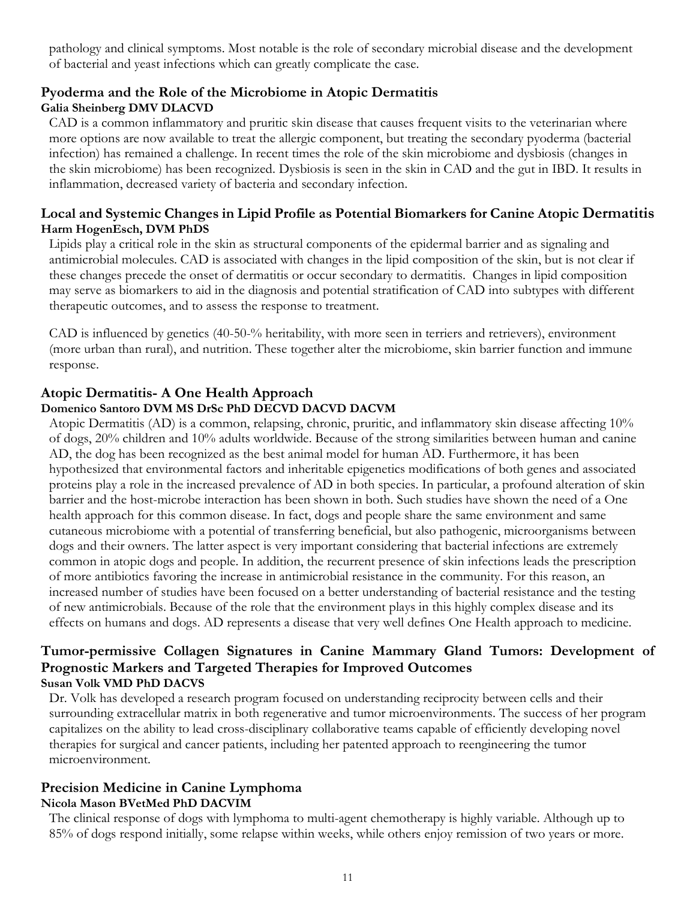pathology and clinical symptoms. Most notable is the role of secondary microbial disease and the development of bacterial and yeast infections which can greatly complicate the case.

## **Pyoderma and the Role of the Microbiome in Atopic Dermatitis Galia Sheinberg DMV DLACVD**

CAD is a common inflammatory and pruritic skin disease that causes frequent visits to the veterinarian where more options are now available to treat the allergic component, but treating the secondary pyoderma (bacterial infection) has remained a challenge. In recent times the role of the skin microbiome and dysbiosis (changes in the skin microbiome) has been recognized. Dysbiosis is seen in the skin in CAD and the gut in IBD. It results in inflammation, decreased variety of bacteria and secondary infection.

## **Local and Systemic Changes in Lipid Profile as Potential Biomarkers for Canine Atopic Dermatitis Harm HogenEsch, DVM PhDS**

Lipids play a critical role in the skin as structural components of the epidermal barrier and as signaling and antimicrobial molecules. CAD is associated with changes in the lipid composition of the skin, but is not clear if these changes precede the onset of dermatitis or occur secondary to dermatitis. Changes in lipid composition may serve as biomarkers to aid in the diagnosis and potential stratification of CAD into subtypes with different therapeutic outcomes, and to assess the response to treatment.

CAD is influenced by genetics (40-50-% heritability, with more seen in terriers and retrievers), environment (more urban than rural), and nutrition. These together alter the microbiome, skin barrier function and immune response.

#### **Atopic Dermatitis- A One Health Approach Domenico Santoro DVM MS DrSc PhD DECVD DACVD DACVM**

Atopic Dermatitis (AD) is a common, relapsing, chronic, pruritic, and inflammatory skin disease affecting 10% of dogs, 20% children and 10% adults worldwide. Because of the strong similarities between human and canine AD, the dog has been recognized as the best animal model for human AD. Furthermore, it has been hypothesized that environmental factors and inheritable epigenetics modifications of both genes and associated proteins play a role in the increased prevalence of AD in both species. In particular, a profound alteration of skin barrier and the host-microbe interaction has been shown in both. Such studies have shown the need of a One health approach for this common disease. In fact, dogs and people share the same environment and same cutaneous microbiome with a potential of transferring beneficial, but also pathogenic, microorganisms between dogs and their owners. The latter aspect is very important considering that bacterial infections are extremely common in atopic dogs and people. In addition, the recurrent presence of skin infections leads the prescription of more antibiotics favoring the increase in antimicrobial resistance in the community. For this reason, an increased number of studies have been focused on a better understanding of bacterial resistance and the testing of new antimicrobials. Because of the role that the environment plays in this highly complex disease and its effects on humans and dogs. AD represents a disease that very well defines One Health approach to medicine.

## **Tumor-permissive Collagen Signatures in Canine Mammary Gland Tumors: Development of Prognostic Markers and Targeted Therapies for Improved Outcomes Susan Volk VMD PhD DACVS**

Dr. Volk has developed a research program focused on understanding reciprocity between cells and their surrounding extracellular matrix in both regenerative and tumor microenvironments. The success of her program capitalizes on the ability to lead cross-disciplinary collaborative teams capable of efficiently developing novel therapies for surgical and cancer patients, including her patented approach to reengineering the tumor microenvironment.

## **Precision Medicine in Canine Lymphoma Nicola Mason BVetMed PhD DACVIM**

The clinical response of dogs with lymphoma to multi-agent chemotherapy is highly variable. Although up to 85% of dogs respond initially, some relapse within weeks, while others enjoy remission of two years or more.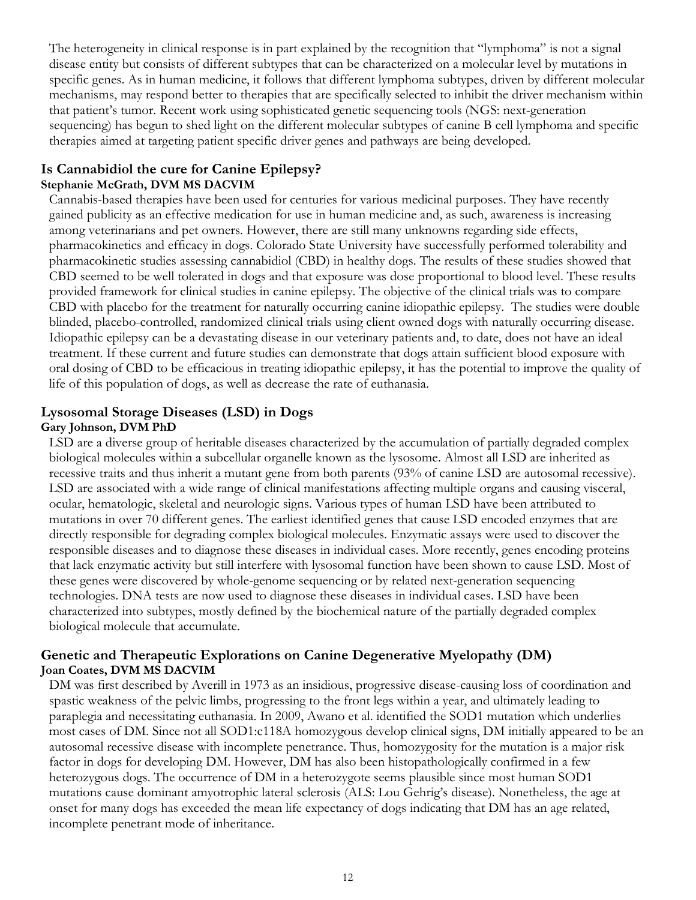The heterogeneity in clinical response is in part explained by the recognition that "lymphoma" is not a signal disease entity but consists of different subtypes that can be characterized on a molecular level by mutations in specific genes. As in human medicine, it follows that different lymphoma subtypes, driven by different molecular mechanisms, may respond better to therapies that are specifically selected to inhibit the driver mechanism within that patient's tumor. Recent work using sophisticated genetic sequencing tools (NGS: next-generation sequencing) has begun to shed light on the different molecular subtypes of canine B cell lymphoma and specific therapies aimed at targeting patient specific driver genes and pathways are being developed.

#### **Is Cannabidiol the cure for Canine Epilepsy? Stephanie McGrath, DVM MS DACVIM**

Cannabis-based therapies have been used for centuries for various medicinal purposes. They have recently gained publicity as an effective medication for use in human medicine and, as such, awareness is increasing among veterinarians and pet owners. However, there are still many unknowns regarding side effects, pharmacokinetics and efficacy in dogs. Colorado State University have successfully performed tolerability and pharmacokinetic studies assessing cannabidiol (CBD) in healthy dogs. The results of these studies showed that CBD seemed to be well tolerated in dogs and that exposure was dose proportional to blood level. These results provided framework for clinical studies in canine epilepsy. The objective of the clinical trials was to compare CBD with placebo for the treatment for naturally occurring canine idiopathic epilepsy. The studies were double blinded, placebo-controlled, randomized clinical trials using client owned dogs with naturally occurring disease. Idiopathic epilepsy can be a devastating disease in our veterinary patients and, to date, does not have an ideal treatment. If these current and future studies can demonstrate that dogs attain sufficient blood exposure with oral dosing of CBD to be efficacious in treating idiopathic epilepsy, it has the potential to improve the quality of life of this population of dogs, as well as decrease the rate of euthanasia.

## **Lysosomal Storage Diseases (LSD) in Dogs Gary Johnson, DVM PhD**

LSD are a diverse group of heritable diseases characterized by the accumulation of partially degraded complex biological molecules within a subcellular organelle known as the lysosome. Almost all LSD are inherited as recessive traits and thus inherit a mutant gene from both parents (93% of canine LSD are autosomal recessive). LSD are associated with a wide range of clinical manifestations affecting multiple organs and causing visceral, ocular, hematologic, skeletal and neurologic signs. Various types of human LSD have been attributed to mutations in over 70 different genes. The earliest identified genes that cause LSD encoded enzymes that are directly responsible for degrading complex biological molecules. Enzymatic assays were used to discover the responsible diseases and to diagnose these diseases in individual cases. More recently, genes encoding proteins that lack enzymatic activity but still interfere with lysosomal function have been shown to cause LSD. Most of these genes were discovered by whole-genome sequencing or by related next-generation sequencing technologies. DNA tests are now used to diagnose these diseases in individual cases. LSD have been characterized into subtypes, mostly defined by the biochemical nature of the partially degraded complex biological molecule that accumulate.

## **Genetic and Therapeutic Explorations on Canine Degenerative Myelopathy (DM) Joan Coates, DVM MS DACVIM**

DM was first described by Averill in 1973 as an insidious, progressive disease-causing loss of coordination and spastic weakness of the pelvic limbs, progressing to the front legs within a year, and ultimately leading to paraplegia and necessitating euthanasia. In 2009, Awano et al. identified the SOD1 mutation which underlies most cases of DM. Since not all SOD1:c118A homozygous develop clinical signs, DM initially appeared to be an autosomal recessive disease with incomplete penetrance. Thus, homozygosity for the mutation is a major risk factor in dogs for developing DM. However, DM has also been histopathologically confirmed in a few heterozygous dogs. The occurrence of DM in a heterozygote seems plausible since most human SOD1 mutations cause dominant amyotrophic lateral sclerosis (ALS: Lou Gehrig's disease). Nonetheless, the age at onset for many dogs has exceeded the mean life expectancy of dogs indicating that DM has an age related, incomplete penetrant mode of inheritance.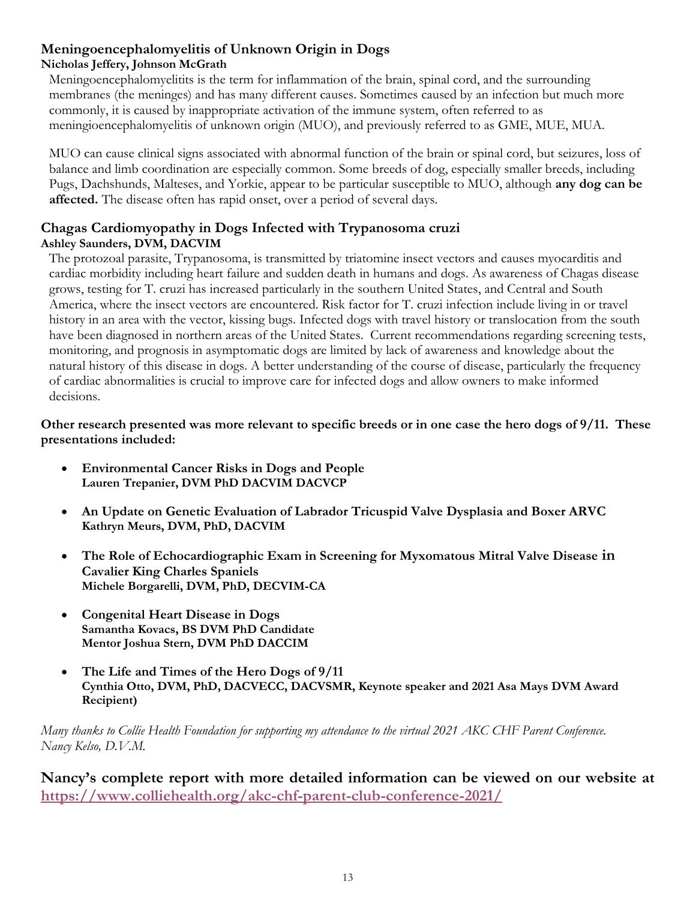#### **Meningoencephalomyelitis of Unknown Origin in Dogs Nicholas Jeffery, Johnson McGrath**

Meningoencephalomyelitits is the term for inflammation of the brain, spinal cord, and the surrounding membranes (the meninges) and has many different causes. Sometimes caused by an infection but much more commonly, it is caused by inappropriate activation of the immune system, often referred to as meningioencephalomyelitis of unknown origin (MUO), and previously referred to as GME, MUE, MUA.

MUO can cause clinical signs associated with abnormal function of the brain or spinal cord, but seizures, loss of balance and limb coordination are especially common. Some breeds of dog, especially smaller breeds, including Pugs, Dachshunds, Malteses, and Yorkie, appear to be particular susceptible to MUO, although **any dog can be affected.** The disease often has rapid onset, over a period of several days.

## **Chagas Cardiomyopathy in Dogs Infected with Trypanosoma cruzi Ashley Saunders, DVM, DACVIM**

The protozoal parasite, Trypanosoma, is transmitted by triatomine insect vectors and causes myocarditis and cardiac morbidity including heart failure and sudden death in humans and dogs. As awareness of Chagas disease grows, testing for T. cruzi has increased particularly in the southern United States, and Central and South America, where the insect vectors are encountered. Risk factor for T. cruzi infection include living in or travel history in an area with the vector, kissing bugs. Infected dogs with travel history or translocation from the south have been diagnosed in northern areas of the United States. Current recommendations regarding screening tests, monitoring, and prognosis in asymptomatic dogs are limited by lack of awareness and knowledge about the natural history of this disease in dogs. A better understanding of the course of disease, particularly the frequency of cardiac abnormalities is crucial to improve care for infected dogs and allow owners to make informed decisions.

**Other research presented was more relevant to specific breeds or in one case the hero dogs of 9/11. These presentations included:**

- **Environmental Cancer Risks in Dogs and People Lauren Trepanier, DVM PhD DACVIM DACVCP**
- **An Update on Genetic Evaluation of Labrador Tricuspid Valve Dysplasia and Boxer ARVC Kathryn Meurs, DVM, PhD, DACVIM**
- **The Role of Echocardiographic Exam in Screening for Myxomatous Mitral Valve Disease in Cavalier King Charles Spaniels Michele Borgarelli, DVM, PhD, DECVIM-CA**
- **Congenital Heart Disease in Dogs Samantha Kovacs, BS DVM PhD Candidate Mentor Joshua Stern, DVM PhD DACCIM**
- **The Life and Times of the Hero Dogs of 9/11 Cynthia Otto, DVM, PhD, DACVECC, DACVSMR, Keynote speaker and 2021 Asa Mays DVM Award Recipient)**

*Many thanks to Collie Health Foundation for supporting my attendance to the virtual 2021 AKC CHF Parent Conference. Nancy Kelso, D.V.M.*

**Nancy's complete report with more detailed information can be viewed on our website at https://www.colliehealth.org/akc-chf-parent-club-conference-2021/**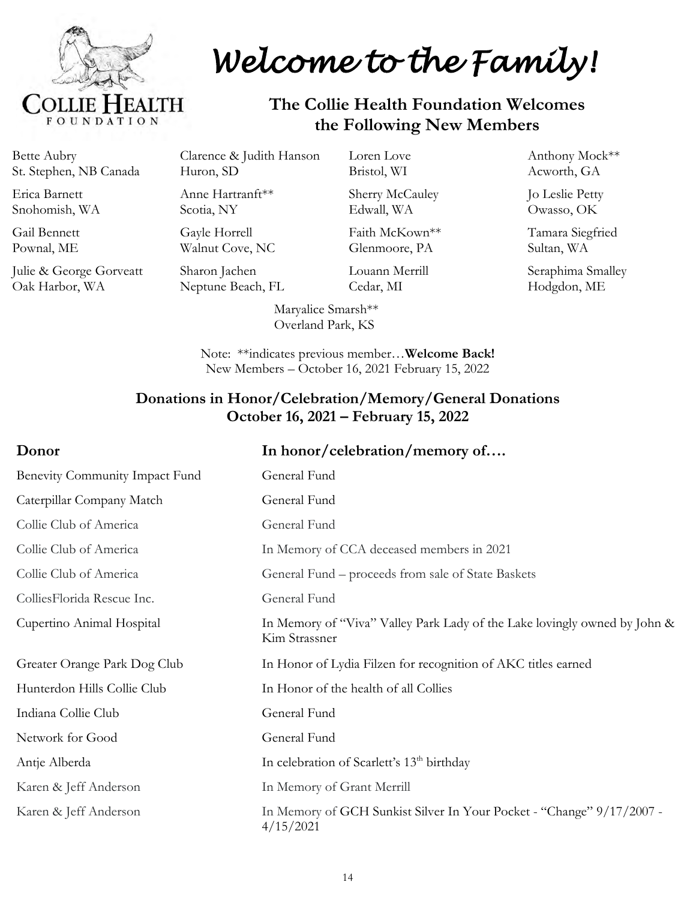

# *Welcome to the Family!*

## **The Collie Health Foundation Welcomes the Following New Members**

Bette Aubry St. Stephen, NB Canada

Erica Barnett Snohomish, WA

Gail Bennett Pownal, ME

Julie & George Gorveatt Oak Harbor, WA

Clarence & Judith Hanson Huron, SD

Anne Hartranft\*\* Scotia, NY

Gayle Horrell Walnut Cove, NC

Sharon Jachen Neptune Beach, FL

Sherry McCauley Edwall, WA

Loren Love Bristol, WI

Faith McKown\*\* Glenmoore, PA

Louann Merrill Cedar, MI

Maryalice Smarsh\*\* Overland Park, KS

Anthony Mock\*\* Acworth, GA

Jo Leslie Petty Owasso, OK

Tamara Siegfried Sultan, WA

Seraphima Smalley Hodgdon, ME

Note: \*\*indicates previous member…**Welcome Back!** New Members – October 16, 2021 February 15, 2022

## **Donations in Honor/Celebration/Memory/General Donations October 16, 2021 – February 15, 2022**

## **Donor In honor/celebration/memory of....** Benevity Community Impact Fund General Fund Caterpillar Company Match General Fund Collie Club of America General Fund Collie Club of America In Memory of CCA deceased members in 2021 Collie Club of America General Fund – proceeds from sale of State Baskets ColliesFlorida Rescue Inc. General Fund Cupertino Animal Hospital In Memory of "Viva" Valley Park Lady of the Lake lovingly owned by John & Kim Strassner Greater Orange Park Dog Club In Honor of Lydia Filzen for recognition of AKC titles earned Hunterdon Hills Collie Club In Honor of the health of all Collies Indiana Collie Club General Fund Network for Good General Fund Antje Alberda In celebration of Scarlett's 13<sup>th</sup> birthday Karen & Jeff Anderson In Memory of Grant Merrill Karen & Jeff Anderson In Memory of GCH Sunkist Silver In Your Pocket - "Change" 9/17/2007 -4/15/2021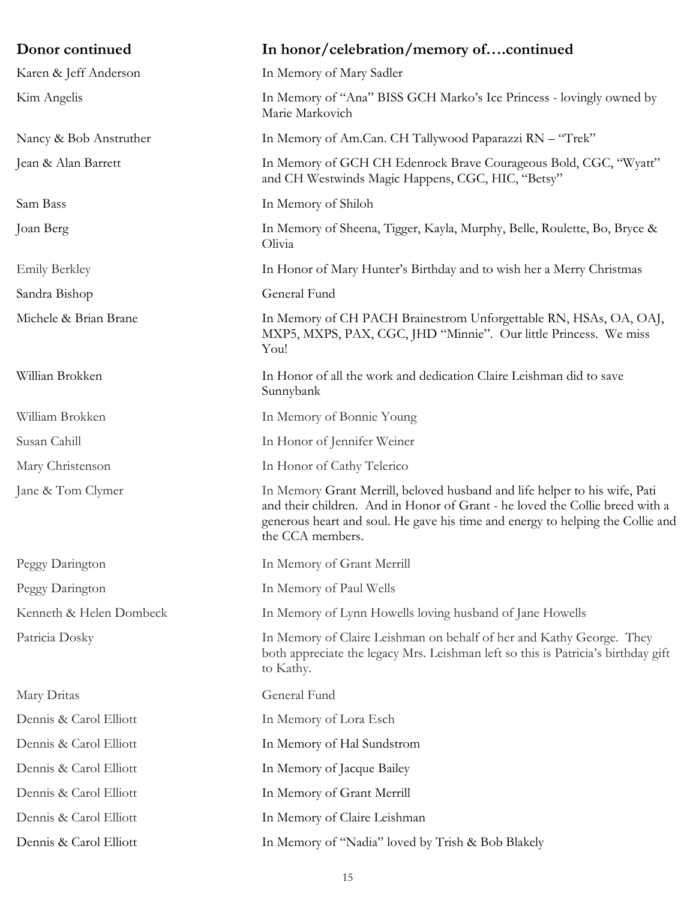| Donor continued         | In honor/celebration/memory ofcontinued                                                                                                                                                                                                                          |
|-------------------------|------------------------------------------------------------------------------------------------------------------------------------------------------------------------------------------------------------------------------------------------------------------|
| Karen & Jeff Anderson   | In Memory of Mary Sadler                                                                                                                                                                                                                                         |
| Kim Angelis             | In Memory of "Ana" BISS GCH Marko's Ice Princess - lovingly owned by<br>Marie Markovich                                                                                                                                                                          |
| Nancy & Bob Anstruther  | In Memory of Am.Can. CH Tallywood Paparazzi RN - "Trek"                                                                                                                                                                                                          |
| Jean & Alan Barrett     | In Memory of GCH CH Edenrock Brave Courageous Bold, CGC, "Wyatt"<br>and CH Westwinds Magic Happens, CGC, HIC, "Betsy"                                                                                                                                            |
| Sam Bass                | In Memory of Shiloh                                                                                                                                                                                                                                              |
| Joan Berg               | In Memory of Sheena, Tigger, Kayla, Murphy, Belle, Roulette, Bo, Bryce &<br>Olivia                                                                                                                                                                               |
| <b>Emily Berkley</b>    | In Honor of Mary Hunter's Birthday and to wish her a Merry Christmas                                                                                                                                                                                             |
| Sandra Bishop           | General Fund                                                                                                                                                                                                                                                     |
| Michele & Brian Brane   | In Memory of CH PACH Brainestrom Unforgettable RN, HSAs, OA, OAJ,<br>MXP5, MXPS, PAX, CGC, JHD "Minnie". Our little Princess. We miss<br>You!                                                                                                                    |
| Willian Brokken         | In Honor of all the work and dedication Claire Leishman did to save<br>Sunnybank                                                                                                                                                                                 |
| William Brokken         | In Memory of Bonnie Young                                                                                                                                                                                                                                        |
| Susan Cahill            | In Honor of Jennifer Weiner                                                                                                                                                                                                                                      |
| Mary Christenson        | In Honor of Cathy Telerico                                                                                                                                                                                                                                       |
| Jane & Tom Clymer       | In Memory Grant Merrill, beloved husband and life helper to his wife, Pati<br>and their children. And in Honor of Grant - he loved the Collie breed with a<br>generous heart and soul. He gave his time and energy to helping the Collie and<br>the CCA members. |
| Peggy Darington         | In Memory of Grant Merrill                                                                                                                                                                                                                                       |
| Peggy Darington         | In Memory of Paul Wells                                                                                                                                                                                                                                          |
| Kenneth & Helen Dombeck | In Memory of Lynn Howells loving husband of Jane Howells                                                                                                                                                                                                         |
| Patricia Dosky          | In Memory of Claire Leishman on behalf of her and Kathy George. They<br>both appreciate the legacy Mrs. Leishman left so this is Patricia's birthday gift<br>to Kathy.                                                                                           |
| Mary Dritas             | General Fund                                                                                                                                                                                                                                                     |
| Dennis & Carol Elliott  | In Memory of Lora Esch                                                                                                                                                                                                                                           |
| Dennis & Carol Elliott  | In Memory of Hal Sundstrom                                                                                                                                                                                                                                       |
| Dennis & Carol Elliott  | In Memory of Jacque Bailey                                                                                                                                                                                                                                       |
| Dennis & Carol Elliott  | In Memory of Grant Merrill                                                                                                                                                                                                                                       |
| Dennis & Carol Elliott  | In Memory of Claire Leishman                                                                                                                                                                                                                                     |
| Dennis & Carol Elliott  | In Memory of "Nadia" loved by Trish & Bob Blakely                                                                                                                                                                                                                |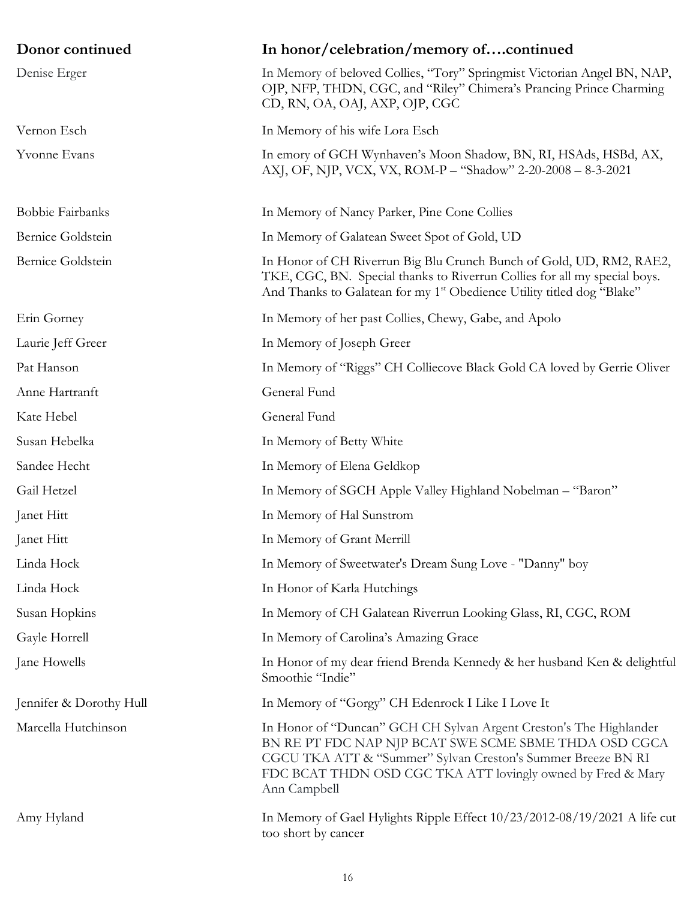| Donor continued         | In honor/celebration/memory ofcontinued                                                                                                                                                                                                                                    |
|-------------------------|----------------------------------------------------------------------------------------------------------------------------------------------------------------------------------------------------------------------------------------------------------------------------|
| Denise Erger            | In Memory of beloved Collies, "Tory" Springmist Victorian Angel BN, NAP,<br>OJP, NFP, THDN, CGC, and "Riley" Chimera's Prancing Prince Charming<br>CD, RN, OA, OAJ, AXP, OJP, CGC                                                                                          |
| Vernon Esch             | In Memory of his wife Lora Esch                                                                                                                                                                                                                                            |
| Yvonne Evans            | In emory of GCH Wynhaven's Moon Shadow, BN, RI, HSAds, HSBd, AX,<br>AXJ, OF, NJP, VCX, VX, ROM-P - "Shadow" 2-20-2008 - 8-3-2021                                                                                                                                           |
| Bobbie Fairbanks        | In Memory of Nancy Parker, Pine Cone Collies                                                                                                                                                                                                                               |
| Bernice Goldstein       | In Memory of Galatean Sweet Spot of Gold, UD                                                                                                                                                                                                                               |
| Bernice Goldstein       | In Honor of CH Riverrun Big Blu Crunch Bunch of Gold, UD, RM2, RAE2,<br>TKE, CGC, BN. Special thanks to Riverrun Collies for all my special boys.<br>And Thanks to Galatean for my 1 <sup>st</sup> Obedience Utility titled dog "Blake"                                    |
| Erin Gorney             | In Memory of her past Collies, Chewy, Gabe, and Apolo                                                                                                                                                                                                                      |
| Laurie Jeff Greer       | In Memory of Joseph Greer                                                                                                                                                                                                                                                  |
| Pat Hanson              | In Memory of "Riggs" CH Colliecove Black Gold CA loved by Gerrie Oliver                                                                                                                                                                                                    |
| Anne Hartranft          | General Fund                                                                                                                                                                                                                                                               |
| Kate Hebel              | General Fund                                                                                                                                                                                                                                                               |
| Susan Hebelka           | In Memory of Betty White                                                                                                                                                                                                                                                   |
| Sandee Hecht            | In Memory of Elena Geldkop                                                                                                                                                                                                                                                 |
| Gail Hetzel             | In Memory of SGCH Apple Valley Highland Nobelman - "Baron"                                                                                                                                                                                                                 |
| Janet Hitt              | In Memory of Hal Sunstrom                                                                                                                                                                                                                                                  |
| Janet Hitt              | In Memory of Grant Merrill                                                                                                                                                                                                                                                 |
| Linda Hock              | In Memory of Sweetwater's Dream Sung Love - "Danny" boy                                                                                                                                                                                                                    |
| Linda Hock              | In Honor of Karla Hutchings                                                                                                                                                                                                                                                |
| Susan Hopkins           | In Memory of CH Galatean Riverrun Looking Glass, RI, CGC, ROM                                                                                                                                                                                                              |
| Gayle Horrell           | In Memory of Carolina's Amazing Grace                                                                                                                                                                                                                                      |
| Jane Howells            | In Honor of my dear friend Brenda Kennedy & her husband Ken & delightful<br>Smoothie "Indie"                                                                                                                                                                               |
| Jennifer & Dorothy Hull | In Memory of "Gorgy" CH Edenrock I Like I Love It                                                                                                                                                                                                                          |
| Marcella Hutchinson     | In Honor of "Duncan" GCH CH Sylvan Argent Creston's The Highlander<br>BN RE PT FDC NAP NJP BCAT SWE SCME SBME THDA OSD CGCA<br>CGCU TKA ATT & "Summer" Sylvan Creston's Summer Breeze BN RI<br>FDC BCAT THDN OSD CGC TKA ATT lovingly owned by Fred & Mary<br>Ann Campbell |
| Amy Hyland              | In Memory of Gael Hylights Ripple Effect 10/23/2012-08/19/2021 A life cut<br>too short by cancer                                                                                                                                                                           |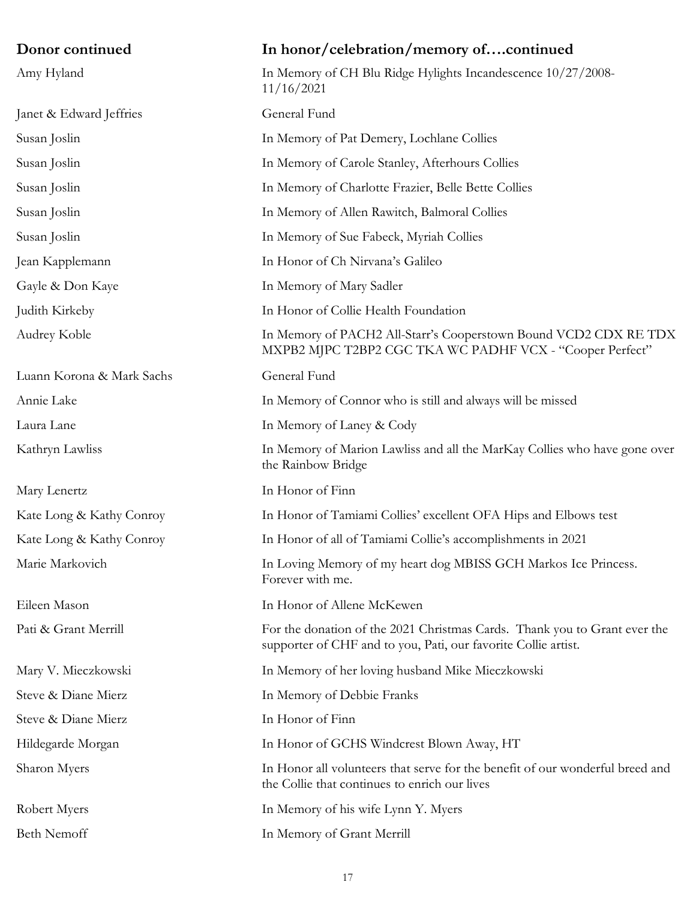## **Donor continued In honor/celebration/memory of….continued** Amy Hyland **In Memory of CH Blu Ridge Hylights Incandescence** 10/27/2008-11/16/2021 Janet & Edward Jeffries General Fund Susan Joslin In Memory of Pat Demery, Lochlane Collies Susan Joslin In Memory of Carole Stanley, Afterhours Collies Susan Joslin In Memory of Charlotte Frazier, Belle Bette Collies Susan Joslin In Memory of Allen Rawitch, Balmoral Collies Susan Joslin In Memory of Sue Fabeck, Myriah Collies Jean Kapplemann In Honor of Ch Nirvana's Galileo Gayle & Don Kaye In Memory of Mary Sadler Judith Kirkeby In Honor of Collie Health Foundation Audrey Koble In Memory of PACH2 All-Starr's Cooperstown Bound VCD2 CDX RE TDX MXPB2 MJPC T2BP2 CGC TKA WC PADHF VCX - "Cooper Perfect" Luann Korona & Mark Sachs General Fund Annie Lake In Memory of Connor who is still and always will be missed Laura Lane In Memory of Laney & Cody Kathryn Lawliss In Memory of Marion Lawliss and all the MarKay Collies who have gone over the Rainbow Bridge Mary Lenertz In Honor of Finn Kate Long & Kathy Conroy In Honor of Tamiami Collies' excellent OFA Hips and Elbows test Kate Long & Kathy Conroy In Honor of all of Tamiami Collie's accomplishments in 2021 Marie Markovich In Loving Memory of my heart dog MBISS GCH Markos Ice Princess. Forever with me. Eileen Mason In Honor of Allene McKewen Pati & Grant Merrill For the donation of the 2021 Christmas Cards. Thank you to Grant ever the supporter of CHF and to you, Pati, our favorite Collie artist. Mary V. Mieczkowski In Memory of her loving husband Mike Mieczkowski Steve & Diane Mierz In Memory of Debbie Franks Steve & Diane Mierz In Honor of Finn Hildegarde Morgan In Honor of GCHS Windcrest Blown Away, HT Sharon Myers In Honor all volunteers that serve for the benefit of our wonderful breed and the Collie that continues to enrich our lives Robert Myers **In Memory of his wife Lynn Y. Myers** Beth Nemoff In Memory of Grant Merrill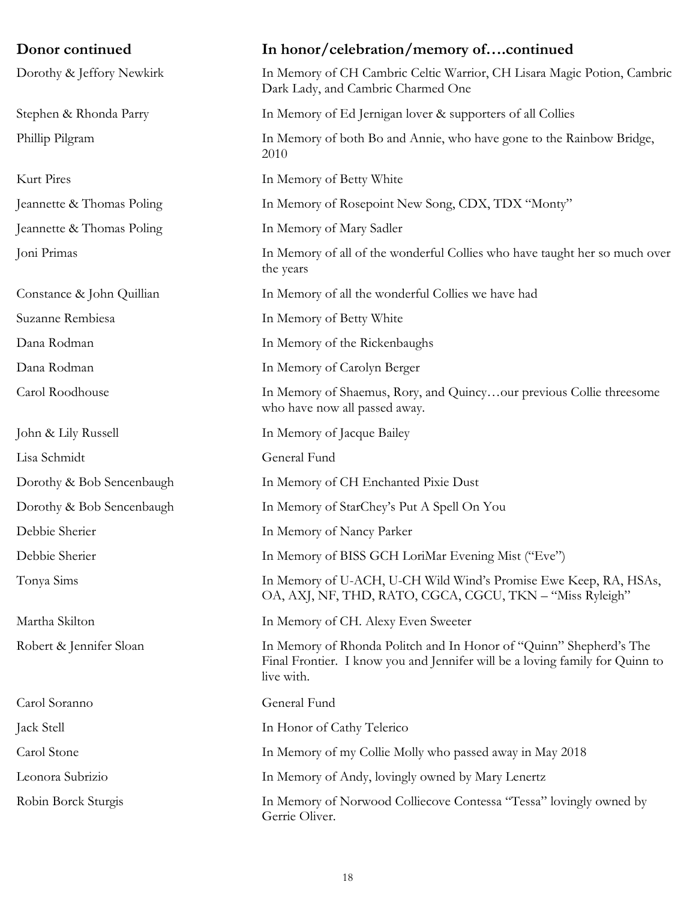| Donor continued           | In honor/celebration/memory ofcontinued                                                                                                                          |
|---------------------------|------------------------------------------------------------------------------------------------------------------------------------------------------------------|
| Dorothy & Jeffory Newkirk | In Memory of CH Cambric Celtic Warrior, CH Lisara Magic Potion, Cambric<br>Dark Lady, and Cambric Charmed One                                                    |
| Stephen & Rhonda Parry    | In Memory of Ed Jernigan lover & supporters of all Collies                                                                                                       |
| Phillip Pilgram           | In Memory of both Bo and Annie, who have gone to the Rainbow Bridge,<br>2010                                                                                     |
| Kurt Pires                | In Memory of Betty White                                                                                                                                         |
| Jeannette & Thomas Poling | In Memory of Rosepoint New Song, CDX, TDX "Monty"                                                                                                                |
| Jeannette & Thomas Poling | In Memory of Mary Sadler                                                                                                                                         |
| Joni Primas               | In Memory of all of the wonderful Collies who have taught her so much over<br>the years                                                                          |
| Constance & John Quillian | In Memory of all the wonderful Collies we have had                                                                                                               |
| Suzanne Rembiesa          | In Memory of Betty White                                                                                                                                         |
| Dana Rodman               | In Memory of the Rickenbaughs                                                                                                                                    |
| Dana Rodman               | In Memory of Carolyn Berger                                                                                                                                      |
| Carol Roodhouse           | In Memory of Shaemus, Rory, and Quincyour previous Collie threesome<br>who have now all passed away.                                                             |
| John & Lily Russell       | In Memory of Jacque Bailey                                                                                                                                       |
| Lisa Schmidt              | General Fund                                                                                                                                                     |
| Dorothy & Bob Sencenbaugh | In Memory of CH Enchanted Pixie Dust                                                                                                                             |
| Dorothy & Bob Sencenbaugh | In Memory of StarChey's Put A Spell On You                                                                                                                       |
| Debbie Sherier            | In Memory of Nancy Parker                                                                                                                                        |
| Debbie Sherier            | In Memory of BISS GCH LoriMar Evening Mist ("Eve")                                                                                                               |
| Tonya Sims                | In Memory of U-ACH, U-CH Wild Wind's Promise Ewe Keep, RA, HSAs,<br>OA, AXJ, NF, THD, RATO, CGCA, CGCU, TKN - "Miss Ryleigh"                                     |
| Martha Skilton            | In Memory of CH. Alexy Even Sweeter                                                                                                                              |
| Robert & Jennifer Sloan   | In Memory of Rhonda Politch and In Honor of "Quinn" Shepherd's The<br>Final Frontier. I know you and Jennifer will be a loving family for Quinn to<br>live with. |
| Carol Soranno             | General Fund                                                                                                                                                     |
| Jack Stell                | In Honor of Cathy Telerico                                                                                                                                       |
| Carol Stone               | In Memory of my Collie Molly who passed away in May 2018                                                                                                         |
| Leonora Subrizio          | In Memory of Andy, lovingly owned by Mary Lenertz                                                                                                                |
| Robin Borck Sturgis       | In Memory of Norwood Colliecove Contessa "Tessa" lovingly owned by<br>Gerrie Oliver.                                                                             |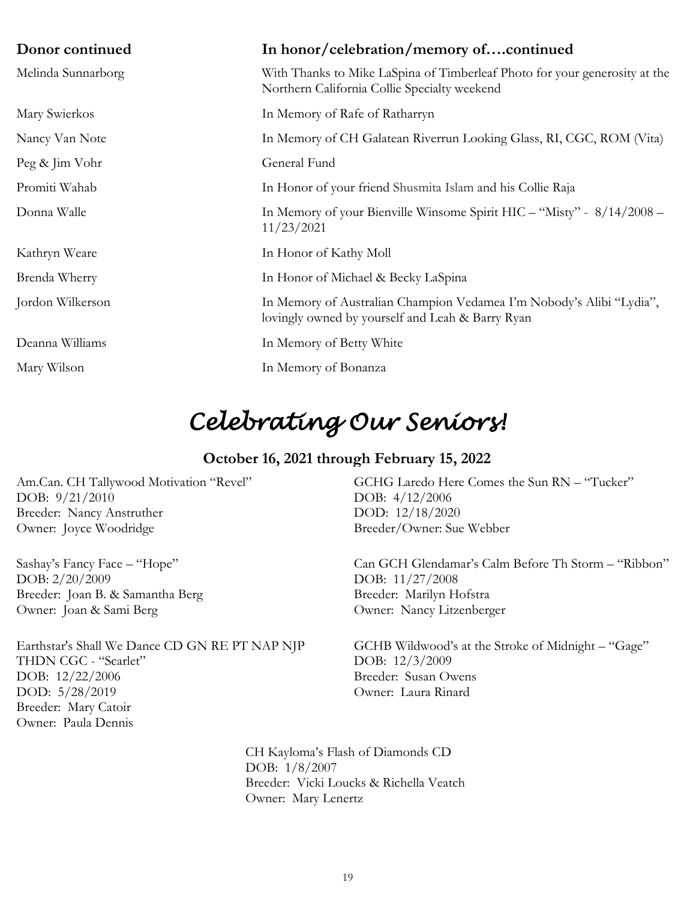| Donor continued    | In honor/celebration/memory ofcontinued                                                                                    |
|--------------------|----------------------------------------------------------------------------------------------------------------------------|
| Melinda Sunnarborg | With Thanks to Mike LaSpina of Timberleaf Photo for your generosity at the<br>Northern California Collie Specialty weekend |
| Mary Swierkos      | In Memory of Rafe of Ratharryn                                                                                             |
| Nancy Van Note     | In Memory of CH Galatean Riverrun Looking Glass, RI, CGC, ROM (Vita)                                                       |
| Peg & Jim Vohr     | General Fund                                                                                                               |
| Promiti Wahab      | In Honor of your friend Shusmita Islam and his Collie Raja                                                                 |
| Donna Walle        | In Memory of your Bienville Winsome Spirit HIC - "Misty" - 8/14/2008 -<br>11/23/2021                                       |
| Kathryn Weare      | In Honor of Kathy Moll                                                                                                     |
| Brenda Wherry      | In Honor of Michael & Becky LaSpina                                                                                        |
| Jordon Wilkerson   | In Memory of Australian Champion Vedamea I'm Nobody's Alibi "Lydia",<br>lovingly owned by yourself and Leah & Barry Ryan   |
| Deanna Williams    | In Memory of Betty White                                                                                                   |
| Mary Wilson        | In Memory of Bonanza                                                                                                       |

## *Celebrating Our Seniors!*

## **October 16, 2021 through February 15, 2022**

Am.Can. CH Tallywood Motivation "Revel" DOB: 9/21/2010 Breeder: Nancy Anstruther Owner: Joyce Woodridge

Sashay's Fancy Face – "Hope" DOB: 2/20/2009 Breeder: Joan B. & Samantha Berg Owner: Joan & Sami Berg

Earthstar's Shall We Dance CD GN RE PT NAP NJP THDN CGC - "Scarlet" DOB: 12/22/2006 DOD: 5/28/2019 Breeder: Mary Catoir Owner: Paula Dennis

GCHG Laredo Here Comes the Sun RN – "Tucker" DOB: 4/12/2006 DOD: 12/18/2020 Breeder/Owner: Sue Webber

Can GCH Glendamar's Calm Before Th Storm – "Ribbon" DOB: 11/27/2008 Breeder: Marilyn Hofstra Owner: Nancy Litzenberger

GCHB Wildwood's at the Stroke of Midnight – "Gage" DOB: 12/3/2009 Breeder: Susan Owens Owner: Laura Rinard

CH Kayloma's Flash of Diamonds CD DOB: 1/8/2007 Breeder: Vicki Loucks & Richella Veatch Owner: Mary Lenertz